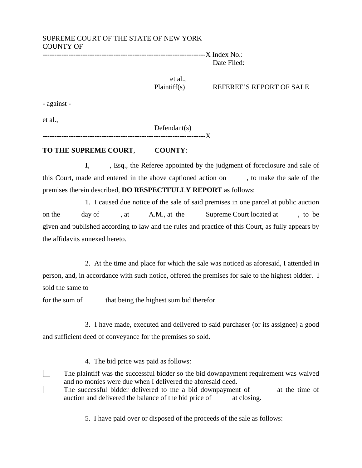# SUPREME COURT OF THE STATE OF NEW YORK COUNTY OF

---------------------------------------------------------------------X Index No.: Date Filed:

et al.,

Plaintiff(s) REFEREE'S REPORT OF SALE

- against -

et al.,

Defendant(s)

----------------------------

### **TO THE SUPREME COURT**, **COUNTY**:

**I**, Esq., the Referee appointed by the judgment of foreclosure and sale of this Court, made and entered in the above captioned action on , to make the sale of the premises therein described, **DO RESPECTFULLY REPORT** as follows:

 1. I caused due notice of the sale of said premises in one parcel at public auction on the day of , at A.M., at the Supreme Court located at , to be given and published according to law and the rules and practice of this Court, as fully appears by the affidavits annexed hereto.

2. At the time and place for which the sale was noticed as aforesaid, I attended in person, and, in accordance with such notice, offered the premises for sale to the highest bidder. I sold the same to

for the sum of that being the highest sum bid therefor.

 3. I have made, executed and delivered to said purchaser (or its assignee) a good and sufficient deed of conveyance for the premises so sold.

4. The bid price was paid as follows:

 The plaintiff was the successful bidder so the bid downpayment requirement was waived and no monies were due when I delivered the aforesaid deed.  $\Box$  The successful bidder delivered to me a bid downpayment of at the time of auction and delivered the balance of the bid price of at closing.

5. I have paid over or disposed of the proceeds of the sale as follows: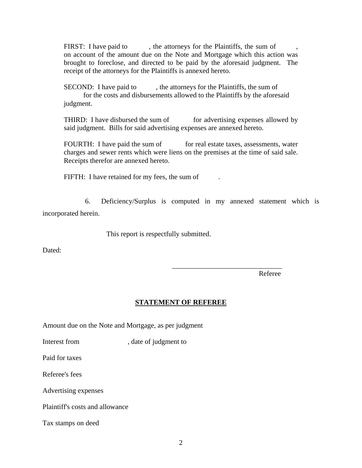FIRST: I have paid to , the attorneys for the Plaintiffs, the sum of on account of the amount due on the Note and Mortgage which this action was brought to foreclose, and directed to be paid by the aforesaid judgment. The receipt of the attorneys for the Plaintiffs is annexed hereto.

SECOND: I have paid to , the attorneys for the Plaintiffs, the sum of for the costs and disbursements allowed to the Plaintiffs by the aforesaid judgment.

THIRD: I have disbursed the sum of for advertising expenses allowed by said judgment. Bills for said advertising expenses are annexed hereto.

FOURTH: I have paid the sum of for real estate taxes, assessments, water charges and sewer rents which were liens on the premises at the time of said sale. Receipts therefor are annexed hereto.

FIFTH: I have retained for my fees, the sum of

6. Deficiency/Surplus is computed in my annexed statement which is incorporated herein.

This report is respectfully submitted.

 $\frac{1}{\sqrt{2}}$  ,  $\frac{1}{\sqrt{2}}$  ,  $\frac{1}{\sqrt{2}}$  ,  $\frac{1}{\sqrt{2}}$  ,  $\frac{1}{\sqrt{2}}$  ,  $\frac{1}{\sqrt{2}}$  ,  $\frac{1}{\sqrt{2}}$  ,  $\frac{1}{\sqrt{2}}$  ,  $\frac{1}{\sqrt{2}}$  ,  $\frac{1}{\sqrt{2}}$  ,  $\frac{1}{\sqrt{2}}$  ,  $\frac{1}{\sqrt{2}}$  ,  $\frac{1}{\sqrt{2}}$  ,  $\frac{1}{\sqrt{2}}$  ,  $\frac{1}{\sqrt{2}}$ 

Dated:

Referee

## **STATEMENT OF REFEREE**

Amount due on the Note and Mortgage, as per judgment

Interest from , date of judgment to

Paid for taxes

Referee's fees

Advertising expenses

Plaintiff's costs and allowance

Tax stamps on deed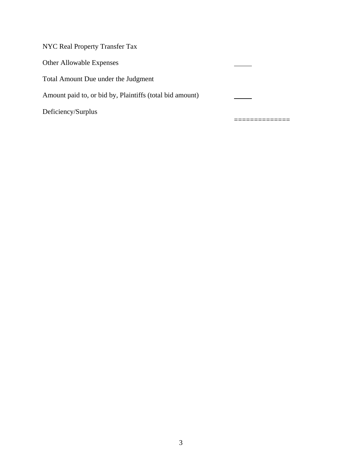| Deficiency/Surplus                                       |  |
|----------------------------------------------------------|--|
| Amount paid to, or bid by, Plaintiffs (total bid amount) |  |
| Total Amount Due under the Judgment                      |  |
| <b>Other Allowable Expenses</b>                          |  |
| <b>NYC Real Property Transfer Tax</b>                    |  |